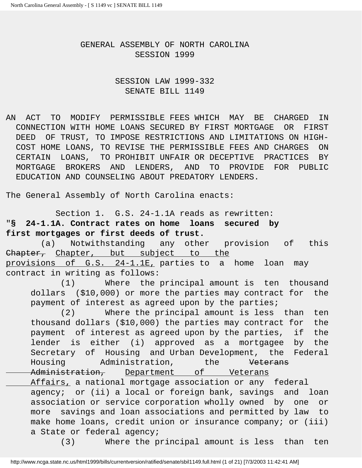## GENERAL ASSEMBLY OF NORTH CAROLINA SESSION 1999

# SESSION LAW 1999-332 SENATE BILL 1149

AN ACT TO MODIFY PERMISSIBLE FEES WHICH MAY BE CHARGED IN CONNECTION WITH HOME LOANS SECURED BY FIRST MORTGAGE OR FIRST DEED OF TRUST, TO IMPOSE RESTRICTIONS AND LIMITATIONS ON HIGH- COST HOME LOANS, TO REVISE THE PERMISSIBLE FEES AND CHARGES ON CERTAIN LOANS, TO PROHIBIT UNFAIR OR DECEPTIVE PRACTICES BY MORTGAGE BROKERS AND LENDERS, AND TO PROVIDE FOR PUBLIC EDUCATION AND COUNSELING ABOUT PREDATORY LENDERS.

The General Assembly of North Carolina enacts:

 Section 1. G.S. 24-1.1A reads as rewritten: "**§ 24-1.1A. Contract rates on home loans secured by first mortgages or first deeds of trust.**

 (a) Notwithstanding any other provision of this Chapter, Chapter, but subject to the provisions of G.S. 24-1.1E, parties to a home loan may contract in writing as follows:

 (1) Where the principal amount is ten thousand dollars (\$10,000) or more the parties may contract for the payment of interest as agreed upon by the parties;

 (2) Where the principal amount is less than ten thousand dollars (\$10,000) the parties may contract for the payment of interest as agreed upon by the parties, if the lender is either (i) approved as a mortgagee by the Secretary of Housing and Urban Development, the Federal Housing Administration, the Veterans Administration, Department of Veterans Affairs, a national mortgage association or any federal agency; or (ii) a local or foreign bank, savings and loan association or service corporation wholly owned by one or more savings and loan associations and permitted by law to make home loans, credit union or insurance company; or (iii) a State or federal agency;

(3) Where the principal amount is less than ten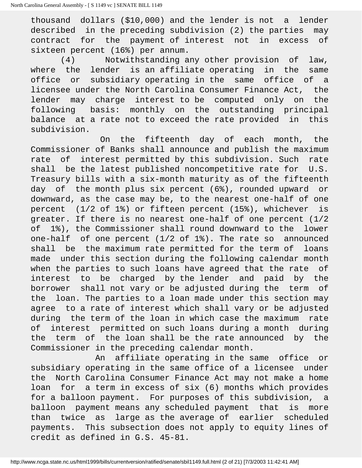thousand dollars (\$10,000) and the lender is not a lender described in the preceding subdivision (2) the parties may contract for the payment of interest not in excess of sixteen percent (16%) per annum.

 (4) Notwithstanding any other provision of law, where the lender is an affiliate operating in the same office or subsidiary operating in the same office of a licensee under the North Carolina Consumer Finance Act, the lender may charge interest to be computed only on the following basis: monthly on the outstanding principal balance at a rate not to exceed the rate provided in this subdivision.

 On the fifteenth day of each month, the Commissioner of Banks shall announce and publish the maximum rate of interest permitted by this subdivision. Such rate shall be the latest published noncompetitive rate for U.S. Treasury bills with a six-month maturity as of the fifteenth day of the month plus six percent (6%), rounded upward or downward, as the case may be, to the nearest one-half of one percent (1/2 of 1%) or fifteen percent (15%), whichever is greater. If there is no nearest one-half of one percent (1/2 of 1%), the Commissioner shall round downward to the lower one-half of one percent (1/2 of 1%). The rate so announced shall be the maximum rate permitted for the term of loans made under this section during the following calendar month when the parties to such loans have agreed that the rate of interest to be charged by the lender and paid by the borrower shall not vary or be adjusted during the term of the loan. The parties to a loan made under this section may agree to a rate of interest which shall vary or be adjusted during the term of the loan in which case the maximum rate of interest permitted on such loans during a month during the term of the loan shall be the rate announced by the Commissioner in the preceding calendar month.

 An affiliate operating in the same office or subsidiary operating in the same office of a licensee under the North Carolina Consumer Finance Act may not make a home loan for a term in excess of six (6) months which provides for a balloon payment. For purposes of this subdivision, a balloon payment means any scheduled payment that is more than twice as large as the average of earlier scheduled payments. This subsection does not apply to equity lines of credit as defined in G.S. 45-81.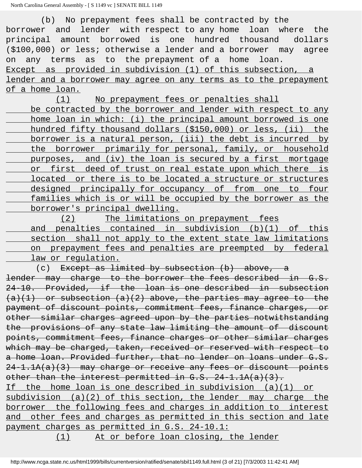No prepayment fees shall be contracted by the borrower and lender with respect to any home loan where the principal amount borrowed is one hundred thousand dollars (\$100,000) or less; otherwise a lender and a borrower may agree on any terms as to the prepayment of a home loan. Except as provided in subdivision (1) of this subsection, a lender and a borrower may agree on any terms as to the prepayment of a home loan.

 (1) No prepayment fees or penalties shall be contracted by the borrower and lender with respect to any home loan in which: (i) the principal amount borrowed is one hundred fifty thousand dollars (\$150,000) or less, (ii) the borrower is a natural person, (iii) the debt is incurred by the borrower primarily for personal, family, or household purposes, and (iv) the loan is secured by a first mortgage or first deed of trust on real estate upon which there is located or there is to be located a structure or structures designed principally for occupancy of from one to four families which is or will be occupied by the borrower as the borrower's principal dwelling.

 (2) The limitations on prepayment fees and penalties contained in subdivision (b)(1) of this section shall not apply to the extent state law limitations on prepayment fees and penalties are preempted by federal law or regulation.

(c) Except as limited by subsection  $(b)$  above, a lender may charge to the borrower the fees described in G.S. 24-10. Provided, if the loan is one described in subsection  $(a)(1)$  or subsection  $(a)(2)$  above, the parties may agree to the payment of discount points, commitment fees, finance charges, or other similar charges agreed upon by the parties notwithstanding the provisions of any state law limiting the amount of discount points, commitment fees, finance charges or other similar charges which may be charged, taken, received or reserved with respect to a home loan. Provided further, that no lender on loans under G.S.  $24-1.1A(a)(3)$  may charge or receive any fees or discount points other than the interest permitted in G.S. 24-1.1A(a)(3). If the home loan is one described in subdivision (a)(1) or subdivision (a)(2) of this section, the lender may charge the

borrower the following fees and charges in addition to interest and other fees and charges as permitted in this section and late payment charges as permitted in G.S. 24-10.1:

(1) At or before loan closing, the lender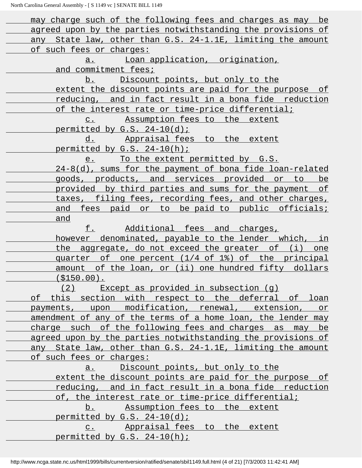| may charge such of the following fees and charges as may be  |
|--------------------------------------------------------------|
| agreed upon by the parties notwithstanding the provisions of |
| any State law, other than G.S. 24-1.1E, limiting the amount  |
| of such fees or charges:                                     |
| Loan application, origination,<br>a.                         |
| and commitment fees;                                         |
| <u>Discount points, but only to the</u><br>b.                |
| extent the discount points are paid for the purpose of       |
| reducing, and in fact result in a bona fide reduction        |
| <u>of the interest rate or time-price differential;</u>      |
| c. Assumption fees to the extent                             |
| permitted by G.S. 24-10(d);                                  |
| d. Appraisal fees to the extent                              |
| permitted by G.S. 24-10(h);                                  |
| To the extent permitted by G.S.<br>e.                        |
| 24-8(d), sums for the payment of bona fide loan-related      |
| <u>goods, products, and services provided or to be</u>       |
| <u>provided by third parties and sums for the payment of</u> |
| taxes, filing fees, recording fees, and other charges,       |
| <u>and fees paid or to be-paid-to-public officials;</u>      |
| and                                                          |
| Additional fees and charges,<br>f.                           |
| however denominated, payable to the lender which, in         |
| the aggregate, do not exceed the greater of (i) one          |
| quarter of one percent (1/4 of 1%) of the principal          |
| amount of the loan, or (ii) one hundred fifty dollars        |
| ( \$150.00).                                                 |
| (2) Except as provided in subsection (g)                     |
| of this section with respect to the deferral of loan         |
| payments, upon modification, renewal, extension, or          |
| amendment of any of the terms of a home loan, the lender may |
| charge such of the following fees and charges as may be      |
| agreed upon by the parties notwithstanding the provisions of |
| any State law, other than G.S. 24-1.1E, limiting the amount  |
| of such fees or charges:                                     |
| a. Discount points, but only to the                          |
| extent the discount points are paid for the purpose of       |
| reducing, and in fact result in a bona fide reduction        |
| of, the interest rate or time-price differential;            |
| b. Assumption fees to the extent                             |
| permitted by $G.S. 24-10(d)$ ;                               |
| c. Appraisal fees to the extent                              |
| permitted by G.S. 24-10(h);                                  |
|                                                              |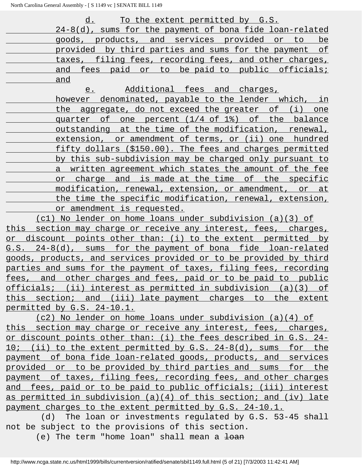d. To the extent permitted by G.S. 24-8(d), sums for the payment of bona fide loan-related goods, products, and services provided or to be provided by third parties and sums for the payment of taxes, filing fees, recording fees, and other charges, and fees paid or to be paid to public officials; and

e. Additional fees and charges,

 however denominated, payable to the lender which, in the aggregate, do not exceed the greater of (i) one quarter of one percent (1/4 of 1%) of the balance outstanding at the time of the modification, renewal, extension, or amendment of terms, or (ii) one hundred fifty dollars (\$150.00). The fees and charges permitted by this sub-subdivision may be charged only pursuant to a written agreement which states the amount of the fee or charge and is made at the time of the specific modification, renewal, extension, or amendment, or at the time the specific modification, renewal, extension, or amendment is requested.

 (c1) No lender on home loans under subdivision (a)(3) of this section may charge or receive any interest, fees, charges, or discount points other than: (i) to the extent permitted by G.S. 24-8(d), sums for the payment of bona fide loan-related goods, products, and services provided or to be provided by third parties and sums for the payment of taxes, filing fees, recording fees, and other charges and fees, paid or to be paid to public officials; (ii) interest as permitted in subdivision (a)(3) of this section; and (iii) late payment charges to the extent permitted by G.S. 24-10.1.

 (c2) No lender on home loans under subdivision (a)(4) of this section may charge or receive any interest, fees, charges, or discount points other than: (i) the fees described in G.S. 24- 10; (ii) to the extent permitted by G.S. 24-8(d), sums for the payment of bona fide loan-related goods, products, and services provided or to be provided by third parties and sums for the payment of taxes, filing fees, recording fees, and other charges and fees, paid or to be paid to public officials; (iii) interest as permitted in subdivision (a)(4) of this section; and (iv) late payment charges to the extent permitted by G.S. 24-10.1.

 (d) The loan or investments regulated by G.S. 53-45 shall not be subject to the provisions of this section.

(e) The term "home loan" shall mean a  $\frac{1}{2}$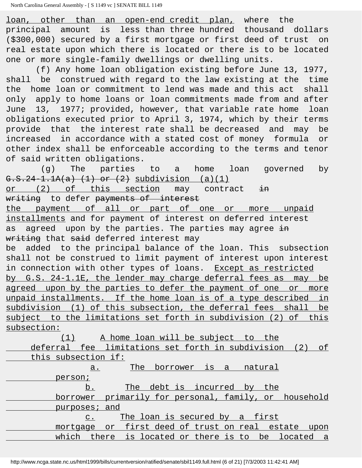loan, other than an open-end credit plan, where the principal amount is less than three hundred thousand dollars (\$300,000) secured by a first mortgage or first deed of trust on real estate upon which there is located or there is to be located one or more single-family dwellings or dwelling units.

 (f) Any home loan obligation existing before June 13, 1977, shall be construed with regard to the law existing at the time the home loan or commitment to lend was made and this act shall only apply to home loans or loan commitments made from and after June 13, 1977; provided, however, that variable rate home loan obligations executed prior to April 3, 1974, which by their terms provide that the interest rate shall be decreased and may be increased in accordance with a stated cost of money formula or other index shall be enforceable according to the terms and tenor of said written obligations.

 (g) The parties to a home loan governed by G.S.24-1.1A(a) (1) or (2) subdivision (a)(1) or (2) of this section may contract  $\frac{1}{10}$ writing to defer payments of interest the payment of all or part of one or more unpaid installments and for payment of interest on deferred interest as agreed upon by the parties. The parties may agree in writing that said deferred interest may be added to the principal balance of the loan. This subsection shall not be construed to limit payment of interest upon interest in connection with other types of loans. Except as restricted by G.S. 24-1.1E, the lender may charge deferral fees as may be agreed upon by the parties to defer the payment of one or more unpaid installments. If the home loan is of a type described in subdivision (1) of this subsection, the deferral fees shall be subject to the limitations set forth in subdivision (2) of this subsection:

| A home loan will be subject to the                             |
|----------------------------------------------------------------|
| deferral fee limitations set forth in subdivision<br>(2)<br>of |
| this subsection if:                                            |
| The borrower is a natural<br>a.                                |
| person;                                                        |
| The debt is incurred by the<br>b.                              |
| primarily for personal, family, or household<br>borrower       |
| purposes; and                                                  |
| The loan is secured by a first<br>$C_{\bullet}$                |
| mortgage or first deed of trust on real estate upon            |
| which there is located or there is to be located a             |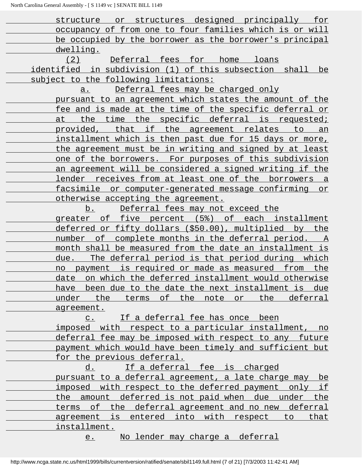structure or structures designed principally for occupancy of from one to four families which is or will be occupied by the borrower as the borrower's principal dwelling. (2) Deferral fees for home loans identified in subdivision (1) of this subsection shall be subject to the following limitations: a. Deferral fees may be charged only pursuant to an agreement which states the amount of the fee and is made at the time of the specific deferral or at the time the specific deferral is requested; provided, that if the agreement relates to an installment which is then past due for 15 days or more, the agreement must be in writing and signed by at least one of the borrowers. For purposes of this subdivision an agreement will be considered a signed writing if the lender receives from at least one of the borrowers a facsimile or computer-generated message confirming or otherwise accepting the agreement. b. Deferral fees may not exceed the greater of five percent (5%) of each installment deferred or fifty dollars (\$50.00), multiplied by the number of complete months in the deferral period. A month shall be measured from the date an installment is due. The deferral period is that period during which no payment is required or made as measured from the date on which the deferred installment would otherwise have been due to the date the next installment is due under the terms of the note or the deferral agreement. c. If a deferral fee has once been imposed with respect to a particular installment, no deferral fee may be imposed with respect to any future payment which would have been timely and sufficient but for the previous deferral. d. If a deferral fee is charged pursuant to a deferral agreement, a late charge may be imposed with respect to the deferred payment only if the amount deferred is not paid when due under the terms of the deferral agreement and no new deferral

 agreement is entered into with respect to that installment.

e. No lender may charge a deferral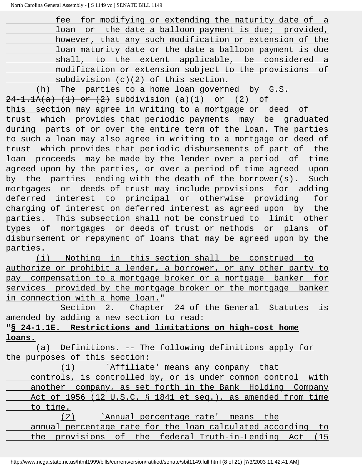| fee for modifying or extending the maturity date of a   |  |
|---------------------------------------------------------|--|
| loan or the date a balloon payment is due; provided,    |  |
| however, that any such modification or extension of the |  |
| loan maturity date or the date a balloon payment is due |  |
| shall, to the extent applicable, be considered a        |  |
| modification or extension subject to the provisions of  |  |
| subdivision $(c)(2)$ of this section.                   |  |

(h) The parties to a home loan governed by  $G.S.$  $24-1.1A(a)$   $(1)$  or  $(2)$  subdivision  $(a)(1)$  or  $(2)$  of this section may agree in writing to a mortgage or deed of trust which provides that periodic payments may be graduated during parts of or over the entire term of the loan. The parties to such a loan may also agree in writing to a mortgage or deed of trust which provides that periodic disbursements of part of the loan proceeds may be made by the lender over a period of time agreed upon by the parties, or over a period of time agreed upon by the parties ending with the death of the borrower(s). Such mortgages or deeds of trust may include provisions for adding deferred interest to principal or otherwise providing for charging of interest on deferred interest as agreed upon by the parties. This subsection shall not be construed to limit other types of mortgages or deeds of trust or methods or plans of disbursement or repayment of loans that may be agreed upon by the parties.

 (i) Nothing in this section shall be construed to authorize or prohibit a lender, a borrower, or any other party to pay compensation to a mortgage broker or a mortgage banker for services provided by the mortgage broker or the mortgage banker in connection with a home loan."

 Section 2. Chapter 24 of the General Statutes is amended by adding a new section to read:

# "**§ 24-1.1E. Restrictions and limitations on high-cost home loans.**

 (a) Definitions. -- The following definitions apply for the purposes of this section:

 (1) `Affiliate' means any company that controls, is controlled by, or is under common control with another company, as set forth in the Bank Holding Company Act of 1956 (12 U.S.C. § 1841 et seq.), as amended from time to time. (2) `Annual percentage rate' means the annual percentage rate for the loan calculated according to the provisions of the federal Truth-in-Lending Act (15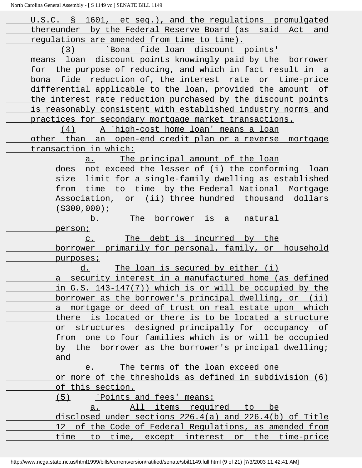| U.S.C. § 1601, et seq.), and the regulations promulgated     |
|--------------------------------------------------------------|
| thereunder by the Federal Reserve Board (as said Act and     |
| requlations are amended from time to time).                  |
| <u>'Bona fide loan discount points'</u><br>(3)               |
| means loan discount points knowingly paid by the borrower    |
| for the purpose of reducing, and which in fact result in a   |
| bona fide reduction of, the interest rate or time-price      |
| differential applicable to the loan, provided the amount of  |
| the interest rate reduction purchased by the discount points |
| is reasonably consistent with established industry norms and |
| practices for secondary mortgage market transactions.        |
| <u>A `high-cost home loan' means a loan</u><br>(4)           |
| other than an open-end credit plan or a reverse mortgage     |
| transaction in which:                                        |
| The principal amount of the loan<br>$a$ .                    |
| does not exceed the lesser of (i) the conforming loan        |
| size limit for a single-family dwelling as established       |
| from time to time by the Federal National Mortgage           |
| Association, or (ii) three hundred thousand dollars          |
| $( $300, 000)$ ;                                             |
| The borrower is a natural<br><u>b.</u>                       |
| person;                                                      |
|                                                              |
|                                                              |
| The debt is incurred by the<br>$\mathbb{C}$ .                |
| <u>borrower primarily for personal, family, or household</u> |
| purposes;                                                    |
| The loan is secured by either (i)<br>d.                      |
| a security interest in a manufactured home (as defined       |
| in G.S. 143-147(7)) which is or will be occupied by the      |
| borrower as the borrower's principal dwelling, or (ii)       |
| a mortgage or deed of trust on real estate upon which        |
| there is located or there is to be located a structure       |
| or structures designed principally for occupancy of          |
| from one to four families which is or will be occupied       |
| by the borrower as the borrower's principal dwelling;        |
| and                                                          |
| The terms of the loan exceed one<br>e.                       |
| or more of the thresholds as defined in subdivision (6)      |
| of this section.                                             |
| $(5)$ Points and fees' means:                                |
| All items required to be<br>a <sub>1</sub>                   |
| disclosed under sections 226.4(a) and 226.4(b) of Title      |
| 12 of the Code of Federal Regulations, as amended from       |
| time to time, except interest or the time-price              |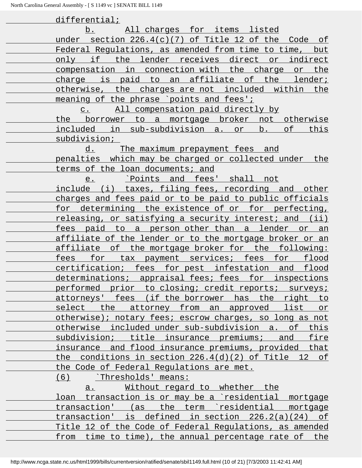| differential;                                                |
|--------------------------------------------------------------|
| All charges for items listed<br>b.                           |
| under section 226.4(c)(7) of Title 12 of the Code of         |
| Federal Requlations, as amended from time to time, but       |
| only if the lender receives direct or indirect               |
| compensation in connection with the charge or the            |
| charge is paid to an affiliate of the lender;                |
| otherwise, the charges are not included within the           |
| meaning of the phrase `points and fees';                     |
| All compensation paid directly by<br>$C$ .                   |
| the borrower to a mortgage broker not otherwise              |
| included in sub-subdivision a. or b.<br>of<br>this           |
| subdivision;                                                 |
| <u>d. The maximum prepayment fees and</u>                    |
| penalties which may be charged or collected under the        |
| terms of the loan documents; and                             |
| Points and fees' shall not<br>e.                             |
| include (i) taxes, filing fees, recording and other          |
| charges and fees paid or to be paid to public officials      |
| for determining the existence of or for perfecting,          |
| releasing, or satisfying a security interest; and (ii)       |
| fees paid to a person-other-than a lender or an              |
| affiliate of the lender or to the mortgage broker or an      |
| affiliate of the mortgage broker for the following:          |
| for tax payment services; fees for flood<br>fees             |
| certification; fees for pest infestation and flood           |
| determinations; appraisal fees; fees for inspections         |
| performed prior to closing; credit reports; surveys;         |
| attorneys' fees (if the borrower has the right to            |
| select the attorney from an approved list or                 |
| otherwise); notary fees; escrow charges, so long as not      |
| otherwise included under sub-subdivision a. of this          |
| subdivision; title insurance premiums; and fire              |
| insurance and flood insurance premiums, provided that        |
| the conditions in section 226.4(d)(2) of Title 12 of         |
| the Code of Federal Regulations are met.                     |
| $(6)$ Thresholds' means:                                     |
| a. Without regard to whether the                             |
| <u>loan transaction is or may be a `residential mortgage</u> |
| transaction' (as the term residential mortgage               |
| transaction' is defined in section $226.2(a)(24)$ of         |
| Title 12 of the Code of Federal Regulations, as amended      |
| from time to time), the annual percentage rate of the        |
|                                                              |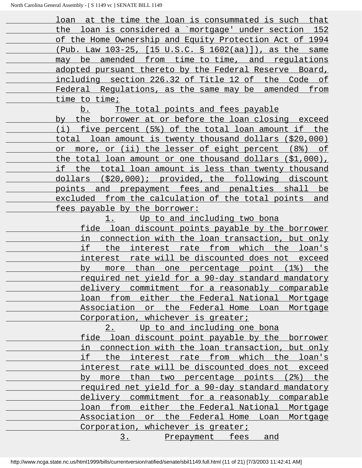loan at the time the loan is consummated is such that the loan is considered a `mortgage' under section 152 of the Home Ownership and Equity Protection Act of 1994 (Pub. Law 103-25, [15 U.S.C. § 1602(aa)]), as the same may be amended from time to time, and regulations adopted pursuant thereto by the Federal Reserve Board, including section 226.32 of Title 12 of the Code of Federal Regulations, as the same may be amended from time to time;

b. The total points and fees payable

 by the borrower at or before the loan closing exceed (i) five percent (5%) of the total loan amount if the total loan amount is twenty thousand dollars (\$20,000) or more, or (ii) the lesser of eight percent (8%) of the total loan amount or one thousand dollars (\$1,000), if the total loan amount is less than twenty thousand dollars (\$20,000); provided, the following discount points and prepayment fees and penalties shall be excluded from the calculation of the total points and fees payable by the borrower:

> 1. Up to and including two bona fide loan discount points payable by the borrower in connection with the loan transaction, but only if the interest rate from which the loan's interest rate will be discounted does not exceed by more than one percentage point (1%) the required net yield for a 90-day standard mandatory delivery commitment for a reasonably comparable loan from either the Federal National Mortgage Association or the Federal Home Loan Mortgage Corporation, whichever is greater;

2. Up to and including one bona fide loan discount point payable by the borrower in connection with the loan transaction, but only if the interest rate from which the loan's interest rate will be discounted does not exceed by more than two percentage points (2%) the required net yield for a 90-day standard mandatory delivery commitment for a reasonably comparable loan from either the Federal National Mortgage Association or the Federal Home Loan Mortgage Corporation, whichever is greater;

3. Prepayment fees and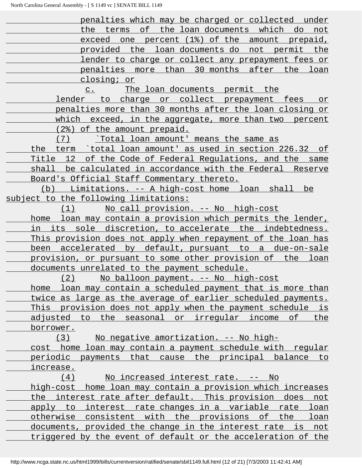penalties which may be charged or collected under the terms of the loan documents which do not exceed one percent (1%) of the amount prepaid, provided the loan documents do not permit the lender to charge or collect any prepayment fees or penalties more than 30 months after the loan closing; or

 c. The loan documents permit the lender to charge or collect prepayment fees or penalties more than 30 months after the loan closing or which exceed, in the aggregate, more than two percent (2%) of the amount prepaid.

 (7) `Total loan amount' means the same as the term `total loan amount' as used in section 226.32 of Title 12 of the Code of Federal Regulations, and the same shall be calculated in accordance with the Federal Reserve Board's Official Staff Commentary thereto.

 (b) Limitations. -- A high-cost home loan shall be subject to the following limitations:

 (1) No call provision. -- No high-cost home loan may contain a provision which permits the lender, in its sole discretion, to accelerate the indebtedness. This provision does not apply when repayment of the loan has been accelerated by default, pursuant to a due-on-sale provision, or pursuant to some other provision of the loan documents unrelated to the payment schedule.

 (2) No balloon payment. -- No high-cost home loan may contain a scheduled payment that is more than twice as large as the average of earlier scheduled payments. This provision does not apply when the payment schedule is adjusted to the seasonal or irregular income of the borrower.

 (3) No negative amortization. -- No high cost home loan may contain a payment schedule with regular periodic payments that cause the principal balance to increase.

(4) No increased interest rate. -- No high-cost home loan may contain a provision which increases the interest rate after default. This provision does not apply to interest rate changes in a variable rate loan otherwise consistent with the provisions of the loan documents, provided the change in the interest rate is not triggered by the event of default or the acceleration of the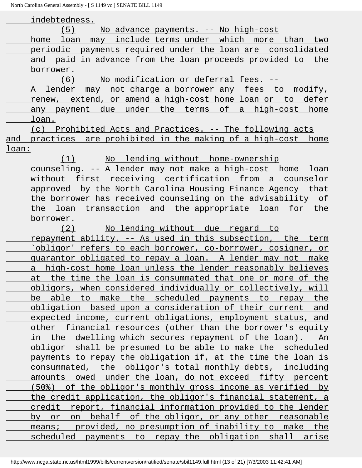indebtedness. (5) No advance payments. -- No high-cost home loan may include terms under which more than two periodic payments required under the loan are consolidated and paid in advance from the loan proceeds provided to the borrower. (6) No modification or deferral fees. -- A lender may not charge a borrower any fees to modify, renew, extend, or amend a high-cost home loan or to defer any payment due under the terms of a high-cost home loan. (c) Prohibited Acts and Practices. -- The following acts and practices are prohibited in the making of a high-cost home loan: (1) No lending without home-ownership counseling. -- A lender may not make a high-cost home loan without first receiving certification from a counselor approved by the North Carolina Housing Finance Agency that the borrower has received counseling on the advisability of the loan transaction and the appropriate loan for the borrower. (2) No lending without due regard to repayment ability. -- As used in this subsection, the term `obligor' refers to each borrower, co-borrower, cosigner, or guarantor obligated to repay a loan. A lender may not make a high-cost home loan unless the lender reasonably believes at the time the loan is consummated that one or more of the obligors, when considered individually or collectively, will be able to make the scheduled payments to repay the obligation based upon a consideration of their current and expected income, current obligations, employment status, and other financial resources (other than the borrower's equity in the dwelling which secures repayment of the loan). An obligor shall be presumed to be able to make the scheduled payments to repay the obligation if, at the time the loan is consummated, the obligor's total monthly debts, including amounts owed under the loan, do not exceed fifty percent (50%) of the obligor's monthly gross income as verified by the credit application, the obligor's financial statement, a credit report, financial information provided to the lender by or on behalf of the obligor, or any other reasonable means; provided, no presumption of inability to make the scheduled payments to repay the obligation shall arise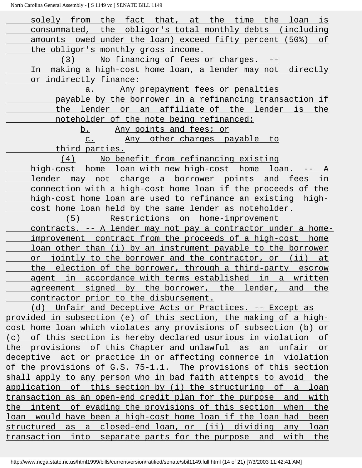| solely from the fact that, at the time the loan is                                                                                     |
|----------------------------------------------------------------------------------------------------------------------------------------|
| consummated, the obligor's total monthly debts (including                                                                              |
| amounts owed under the loan) exceed fifty percent (50%) of                                                                             |
| the obligor's monthly gross income.                                                                                                    |
| No financing of fees or charges. --<br>(3)                                                                                             |
| In making a high-cost home loan, a lender may not directly                                                                             |
| or indirectly finance:                                                                                                                 |
| Any prepayment fees or penalties<br>a.                                                                                                 |
| payable by the borrower in a refinancing transaction if                                                                                |
| the lender or an affiliate of the lender is the                                                                                        |
| noteholder of the note being refinanced;                                                                                               |
| b. Any points and fees; or                                                                                                             |
| Any other charges payable to<br>$C$ .                                                                                                  |
| third parties.                                                                                                                         |
| No benefit from refinancing existing<br>(4)                                                                                            |
| high-cost home loan with new high-cost home loan. -- A                                                                                 |
| <u>lender may not charge a borrower points and fees in</u>                                                                             |
| <u>connection with a high-cost home loan if the proceeds of the </u>                                                                   |
| <u>high-cost home loan are used to refinance an existing high-</u>                                                                     |
| cost home loan held by the same lender as noteholder.                                                                                  |
| Restrictions on home-improvement<br>(5)                                                                                                |
| <u>contracts. -- A lender may not pay a contractor under a home-</u>                                                                   |
| improvement contract from the proceeds of a high-cost home                                                                             |
| loan other than (i) by an instrument payable to the borrower                                                                           |
| or jointly to the borrower and the contractor, or (ii) at                                                                              |
| the election of the borrower, through a third-party escrow                                                                             |
| agent in accordance with terms established in a written                                                                                |
| agreement signed by the borrower, the lender, and the                                                                                  |
| contractor prior to the disbursement.                                                                                                  |
| (d) Unfair and Deceptive Acts or Practices. -- Except as                                                                               |
| provided in subsection (e) of this section, the making of a high-<br>cost home loan which violates any provisions of subsection (b) or |
| (c) of this section is hereby declared usurious in violation of                                                                        |
| the provisions of this Chapter and unlawful as an unfair or                                                                            |
| deceptive act or practice in or affecting commerce in violation                                                                        |
| of the provisions of G.S. 75-1.1. The provisions of this section                                                                       |
| shall apply to any person who in bad faith attempts to avoid the                                                                       |
| application of this section by (i) the structuring of a loan                                                                           |
| transaction as an open-end credit plan for the purpose and with                                                                        |
| the intent of evading the provisions of this section when the                                                                          |
| loan would have been a high-cost home loan if the loan had been                                                                        |
| structured as a closed-end loan, or (ii) dividing any loan                                                                             |
| transaction into separate parts for the purpose and with the                                                                           |
|                                                                                                                                        |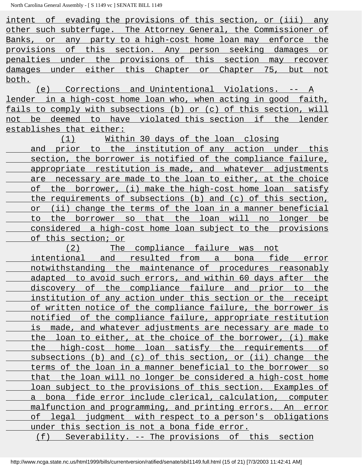intent of evading the provisions of this section, or (iii) any other such subterfuge. The Attorney General, the Commissioner of Banks, or any party to a high-cost home loan may enforce the provisions of this section. Any person seeking damages or penalties under the provisions of this section may recover damages under either this Chapter or Chapter 75, but not both.

 (e) Corrections and Unintentional Violations. -- A lender in a high-cost home loan who, when acting in good faith, fails to comply with subsections (b) or (c) of this section, will not be deemed to have violated this section if the lender establishes that either:

 (1) Within 30 days of the loan closing and prior to the institution of any action under this section, the borrower is notified of the compliance failure, appropriate restitution is made, and whatever adjustments are necessary are made to the loan to either, at the choice of the borrower, (i) make the high-cost home loan satisfy the requirements of subsections (b) and (c) of this section, or (ii) change the terms of the loan in a manner beneficial to the borrower so that the loan will no longer be considered a high-cost home loan subject to the provisions of this section; or

 (2) The compliance failure was not intentional and resulted from a bona fide error notwithstanding the maintenance of procedures reasonably adapted to avoid such errors, and within 60 days after the discovery of the compliance failure and prior to the institution of any action under this section or the receipt of written notice of the compliance failure, the borrower is notified of the compliance failure, appropriate restitution is made, and whatever adjustments are necessary are made to the loan to either, at the choice of the borrower, (i) make the high-cost home loan satisfy the requirements of subsections (b) and (c) of this section, or (ii) change the terms of the loan in a manner beneficial to the borrower so that the loan will no longer be considered a high-cost home loan subject to the provisions of this section. Examples of a bona fide error include clerical, calculation, computer malfunction and programming, and printing errors. An error of legal judgment with respect to a person's obligations under this section is not a bona fide error. (f) Severability. -- The provisions of this section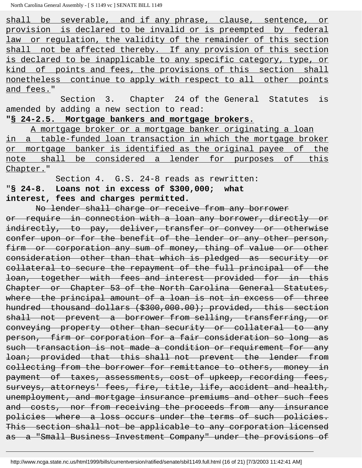shall be severable, and if any phrase, clause, sentence, or provision is declared to be invalid or is preempted by federal law or regulation, the validity of the remainder of this section shall not be affected thereby. If any provision of this section is declared to be inapplicable to any specific category, type, or kind of points and fees, the provisions of this section shall nonetheless continue to apply with respect to all other points and fees."

 Section 3. Chapter 24 of the General Statutes is amended by adding a new section to read:

#### **"§ 24-2.5. Mortgage bankers and mortgage brokers.**

 A mortgage broker or a mortgage banker originating a loan in a table-funded loan transaction in which the mortgage broker or mortgage banker is identified as the original payee of the note shall be considered a lender for purposes of this Chapter."

 Section 4. G.S. 24-8 reads as rewritten: "**§ 24-8. Loans not in excess of \$300,000; what interest, fees and charges permitted.**

 No lender shall charge or receive from any borrower or require in connection with a loan any borrower, directly or indirectly, to pay, deliver, transfer or convey or otherwise confer upon or for the benefit of the lender or any other person, firm or corporation any sum of money, thing of value or other consideration other than that which is pledged as security or collateral to secure the repayment of the full principal of the loan, together with fees and interest provided for in this Chapter or Chapter 53 of the North Carolina General Statutes, where the principal amount of a loan is not in excess of three hundred thousand dollars (\$300,000.00); provided, this section shall not prevent a borrower from selling, transferring, or conveying property other than security or collateral to any person, firm or corporation for a fair consideration so long as such transaction is not made a condition or requirement for any loan; provided that this shall not prevent the lender from collecting from the borrower for remittance to others, money in payment of taxes, assessments, cost of upkeep, recording fees, surveys, attorneys' fees, fire, title, life, accident and health, unemployment, and mortgage insurance premiums and other such fees and costs, nor from receiving the proceeds from any insurance policies where a loss occurs under the terms of such policies. This section shall not be applicable to any corporation licensed as a "Small Business Investment Company" under the provisions of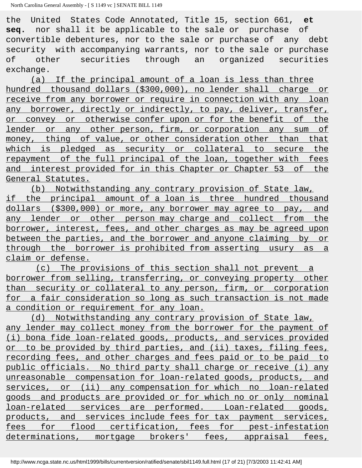the United States Code Annotated, Title 15, section 661, **et seq.** nor shall it be applicable to the sale or purchase of convertible debentures, nor to the sale or purchase of any debt security with accompanying warrants, nor to the sale or purchase of other securities through an organized securities exchange.

 (a) If the principal amount of a loan is less than three hundred thousand dollars (\$300,000), no lender shall charge or receive from any borrower or require in connection with any loan any borrower, directly or indirectly, to pay, deliver, transfer, or convey or otherwise confer upon or for the benefit of the lender or any other person, firm, or corporation any sum of money, thing of value, or other consideration other than that which is pledged as security or collateral to secure the repayment of the full principal of the loan, together with fees and interest provided for in this Chapter or Chapter 53 of the General Statutes.

 (b) Notwithstanding any contrary provision of State law, if the principal amount of a loan is three hundred thousand dollars (\$300,000) or more, any borrower may agree to pay, and any lender or other person may charge and collect from the borrower, interest, fees, and other charges as may be agreed upon between the parties, and the borrower and anyone claiming by or through the borrower is prohibited from asserting usury as a claim or defense.

 (c) The provisions of this section shall not prevent a borrower from selling, transferring, or conveying property other than security or collateral to any person, firm, or corporation for a fair consideration so long as such transaction is not made a condition or requirement for any loan.

 (d) Notwithstanding any contrary provision of State law, any lender may collect money from the borrower for the payment of (i) bona fide loan-related goods, products, and services provided or to be provided by third parties, and (ii) taxes, filing fees, recording fees, and other charges and fees paid or to be paid to public officials. No third party shall charge or receive (i) any unreasonable compensation for loan-related goods, products, and services, or (ii) any compensation for which no loan-related goods and products are provided or for which no or only nominal loan-related services are performed. Loan-related goods, products, and services include fees for tax payment services, fees for flood certification, fees for pest-infestation determinations, mortgage brokers' fees, appraisal fees,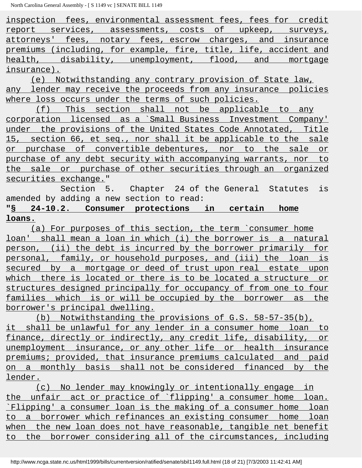inspection fees, environmental assessment fees, fees for credit report services, assessments, costs of upkeep, surveys, attorneys' fees, notary fees, escrow charges, and insurance premiums (including, for example, fire, title, life, accident and health, disability, unemployment, flood, and mortgage insurance).

 (e) Notwithstanding any contrary provision of State law, any lender may receive the proceeds from any insurance policies where loss occurs under the terms of such policies.

 (f) This section shall not be applicable to any corporation licensed as a `Small Business Investment Company' under the provisions of the United States Code Annotated, Title 15, section 66, et seq., nor shall it be applicable to the sale or purchase of convertible debentures, nor to the sale or purchase of any debt security with accompanying warrants, nor to the sale or purchase of other securities through an organized securities exchange."

 Section 5. Chapter 24 of the General Statutes is amended by adding a new section to read:

# **"§ 24-10.2. Consumer protections in certain home loans.**

 (a) For purposes of this section, the term `consumer home loan' shall mean a loan in which (i) the borrower is a natural person, (ii) the debt is incurred by the borrower primarily for personal, family, or household purposes, and (iii) the loan is secured by a mortgage or deed of trust upon real estate upon which there is located or there is to be located a structure or structures designed principally for occupancy of from one to four families which is or will be occupied by the borrower as the borrower's principal dwelling.

 (b) Notwithstanding the provisions of G.S. 58-57-35(b), it shall be unlawful for any lender in a consumer home loan to finance, directly or indirectly, any credit life, disability, or unemployment insurance, or any other life or health insurance premiums; provided, that insurance premiums calculated and paid on a monthly basis shall not be considered financed by the lender.

 (c) No lender may knowingly or intentionally engage in the unfair act or practice of `flipping' a consumer home loan. `Flipping' a consumer loan is the making of a consumer home loan to a borrower which refinances an existing consumer home loan when the new loan does not have reasonable, tangible net benefit to the borrower considering all of the circumstances, including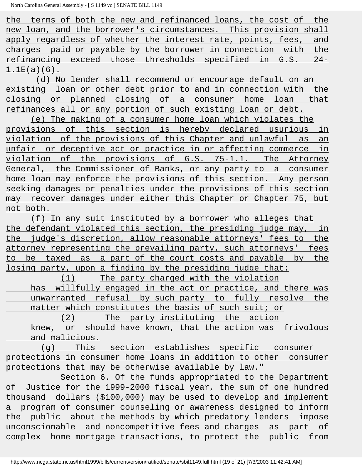the terms of both the new and refinanced loans, the cost of the new loan, and the borrower's circumstances. This provision shall apply regardless of whether the interest rate, points, fees, and charges paid or payable by the borrower in connection with the refinancing exceed those thresholds specified in G.S. 24-  $1.1E(a)(6)$ .

 (d) No lender shall recommend or encourage default on an existing loan or other debt prior to and in connection with the closing or planned closing of a consumer home loan that refinances all or any portion of such existing loan or debt.

 (e) The making of a consumer home loan which violates the provisions of this section is hereby declared usurious in violation of the provisions of this Chapter and unlawful as an unfair or deceptive act or practice in or affecting commerce in violation of the provisions of G.S. 75-1.1. The Attorney General, the Commissioner of Banks, or any party to a consumer home loan may enforce the provisions of this section. Any person seeking damages or penalties under the provisions of this section may recover damages under either this Chapter or Chapter 75, but not both.

 (f) In any suit instituted by a borrower who alleges that the defendant violated this section, the presiding judge may, in the judge's discretion, allow reasonable attorneys' fees to the attorney representing the prevailing party, such attorneys' fees to be taxed as a part of the court costs and payable by the losing party, upon a finding by the presiding judge that:

 (1) The party charged with the violation has willfully engaged in the act or practice, and there was unwarranted refusal by such party to fully resolve the matter which constitutes the basis of such suit; or

 (2) The party instituting the action knew, or should have known, that the action was frivolous and malicious.

 (g) This section establishes specific consumer protections in consumer home loans in addition to other consumer protections that may be otherwise available by law."

 Section 6. Of the funds appropriated to the Department of Justice for the 1999-2000 fiscal year, the sum of one hundred thousand dollars (\$100,000) may be used to develop and implement a program of consumer counseling or awareness designed to inform the public about the methods by which predatory lenders impose unconscionable and noncompetitive fees and charges as part of complex home mortgage transactions, to protect the public from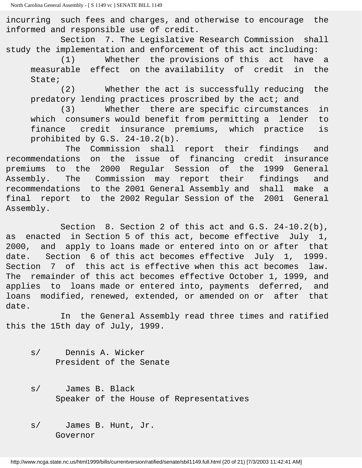incurring such fees and charges, and otherwise to encourage the informed and responsible use of credit.

 Section 7. The Legislative Research Commission shall study the implementation and enforcement of this act including:

 (1) Whether the provisions of this act have a measurable effect on the availability of credit in the State;

 (2) Whether the act is successfully reducing the predatory lending practices proscribed by the act; and

 (3) Whether there are specific circumstances in which consumers would benefit from permitting a lender to finance credit insurance premiums, which practice is prohibited by G.S. 24-10.2(b).

 The Commission shall report their findings and recommendations on the issue of financing credit insurance premiums to the 2000 Regular Session of the 1999 General Assembly. The Commission may report their findings and recommendations to the 2001 General Assembly and shall make a final report to the 2002 Regular Session of the 2001 General Assembly.

 Section 8. Section 2 of this act and G.S. 24-10.2(b), as enacted in Section 5 of this act, become effective July 1, 2000, and apply to loans made or entered into on or after that date. Section 6 of this act becomes effective July 1, 1999. Section 7 of this act is effective when this act becomes law. The remainder of this act becomes effective October 1, 1999, and applies to loans made or entered into, payments deferred, and loans modified, renewed, extended, or amended on or after that date.

 In the General Assembly read three times and ratified this the 15th day of July, 1999.

- s/ Dennis A. Wicker President of the Senate
- s/ James B. Black Speaker of the House of Representatives
- s/ James B. Hunt, Jr. Governor